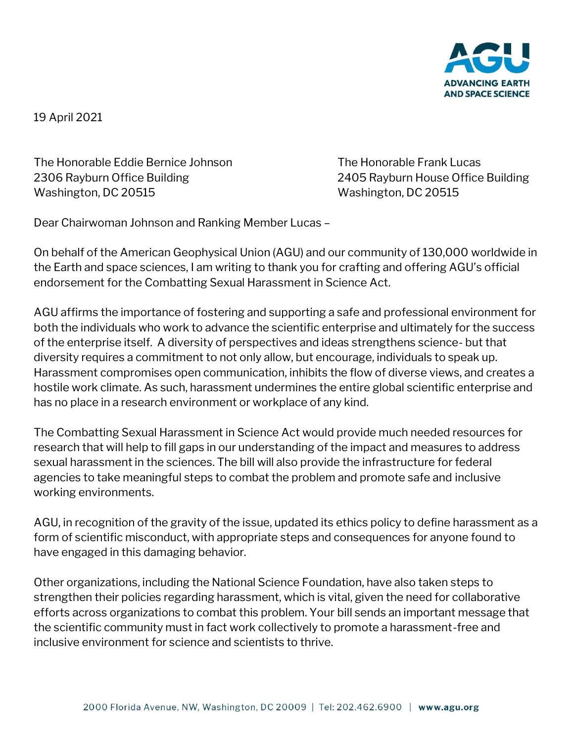

19 April 2021

The Honorable Eddie Bernice Johnson The Honorable Frank Lucas 2306 Rayburn Office Building 2405 Rayburn House Office Building Washington, DC 20515 Washington, DC 20515

Dear Chairwoman Johnson and Ranking Member Lucas –

On behalf of the American Geophysical Union (AGU) and our community of 130,000 worldwide in the Earth and space sciences, I am writing to thank you for crafting and offering AGU's official endorsement for the Combatting Sexual Harassment in Science Act.

AGU affirms the importance of fostering and supporting a safe and professional environment for both the individuals who work to advance the scientific enterprise and ultimately for the success of the enterprise itself. A diversity of perspectives and ideas strengthens science- but that diversity requires a commitment to not only allow, but encourage, individuals to speak up. Harassment compromises open communication, inhibits the flow of diverse views, and creates a hostile work climate. As such, harassment undermines the entire global scientific enterprise and has no place in a research environment or workplace of any kind.

The Combatting Sexual Harassment in Science Act would provide much needed resources for research that will help to fill gaps in our understanding of the impact and measures to address sexual harassment in the sciences. The bill will also provide the infrastructure for federal agencies to take meaningful steps to combat the problem and promote safe and inclusive working environments.

AGU, in recognition of the gravity of the issue, updated its ethics policy to define harassment as a form of scientific misconduct, with appropriate steps and consequences for anyone found to have engaged in this damaging behavior.

Other organizations, including the National Science Foundation, have also taken steps to strengthen their policies regarding harassment, which is vital, given the need for collaborative efforts across organizations to combat this problem. Your bill sends an important message that the scientific community must in fact work collectively to promote a harassment-free and inclusive environment for science and scientists to thrive.